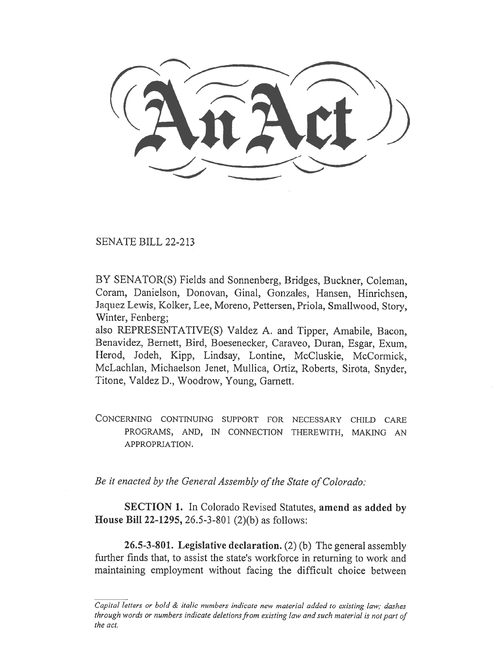,....\_, .\_-,.....

SENATE BILL 22-213

BY SENATOR(S) Fields and Sonnenberg, Bridges, Buckner, Coleman, Coram, Danielson, Donovan, Ginal, Gonzales, Hansen, Hinrichsen, Jaquez Lewis, Kolker, Lee, Moreno, Pettersen, Priola, Smallwood, Story, Winter, Fenberg;

also REPRESENTATIVE(S) Valdez A. and Tipper, Amabile, Bacon, Benavidez, Bernett, Bird, Boesenecker, Caraveo, Duran, Esgar, Exum, Herod, Jodeh, Kipp, Lindsay, Lontine, McCluskie, McCormick, McLachlan, Michaelson Jenet, Mullica, Ortiz, Roberts, Sirota, Snyder, Titone, Valdez D., Woodrow, Young, Garnett.

CONCERNING CONTINUING SUPPORT FOR NECESSARY CHILD CARE PROGRAMS, AND, IN CONNECTION THEREWITH, MAKING AN APPROPRIATION.

Be it enacted by the General Assembly of the State of Colorado:

SECTION 1. In Colorado Revised Statutes, amend as added by House Bill 22-1295, 26.5-3-801 (2)(b) as follows:

26.5-3-801. Legislative declaration. (2) (b) The general assembly further finds that, to assist the state's workforce in returning to work and maintaining employment without facing the difficult choice between

Capital letters or bold & italic numbers indicate new material added to existing law; dashes through words or numbers indicate deletions from existing law and such material is not part of the act.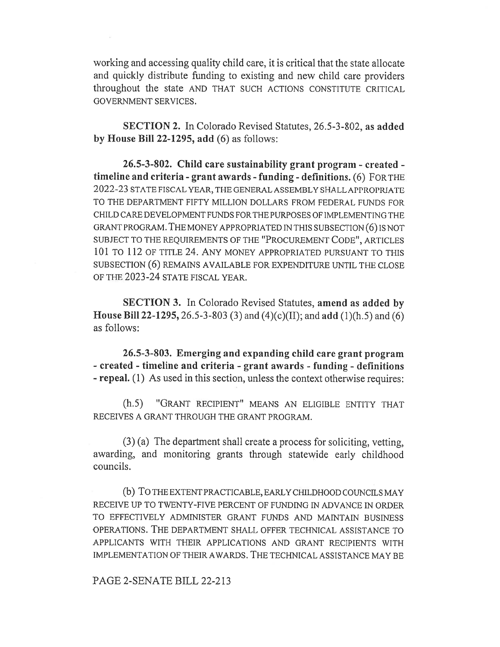working and accessing quality child care, it is critical that the state allocate and quickly distribute funding to existing and new child care providers throughout the state AND THAT SUCH ACTIONS CONSTITUTE CRITICAL GOVERNMENT SERVICES.

SECTION 2. In Colorado Revised Statutes, 26.5-3-802, as added by House Bill 22-1295, add (6) as follows:

26.5-3-802. Child care sustainability grant program - created timeline and criteria - grant awards - funding - definitions. (6) FOR THE 2022-23 STATE FISCAL YEAR, THE GENERAL ASSEMBLY SHALL APPROPRIATE TO THE DEPARTMENT FIFTY MILLION DOLLARS FROM FEDERAL FUNDS FOR CHILD CARE DEVELOPMENT FUNDS FOR THE PURPOSES OF IMPLEMENTING THE GRANT PROGRAM. THE MONEY APPROPRIATED IN THIS SUBSECTION (6) IS NOT SUBJECT TO THE REQUIREMENTS OF THE "PROCUREMENT CODE", ARTICLES 101 TO 112 OF TITLE 24. ANY MONEY APPROPRIATED PURSUANT TO THIS SUBSECTION (6) REMAINS AVAILABLE FOR EXPENDITURE UNTIL THE CLOSE OF THE 2023-24 STATE FISCAL YEAR.

SECTION 3. In Colorado Revised Statutes, amend as added by House Bill 22-1295, 26.5-3-803 (3) and (4)(c)(II); and add (1)(h.5) and (6) as follows:

26.5-3-803. Emerging and expanding child care grant program - created - timeline and criteria - grant awards - funding - definitions - repeal. (1) As used in this section, unless the context otherwise requires:

(h.5) "GRANT RECIPIENT" MEANS AN ELIGIBLE ENTITY THAT RECEIVES A GRANT THROUGH THE GRANT PROGRAM.

(3) (a) The department shall create a process for soliciting, vetting, awarding, and monitoring grants through statewide early childhood councils.

(b) To THE EXTENT PRACTICABLE, EARLY CHILDHOOD COUNCILS MAY RECEIVE UP TO TWENTY-FIVE PERCENT OF FUNDING IN ADVANCE IN ORDER TO EFFECTIVELY ADMINISTER GRANT FUNDS AND MAINTAIN BUSINESS OPERATIONS. THE DEPARTMENT SHALL OFFER TECHNICAL ASSISTANCE TO APPLICANTS WITH THEIR APPLICATIONS AND GRANT RECIPIENTS WITH IMPLEMENTATION OF THEIR AWARDS. THE TECHNICAL ASSISTANCE MAY BE

PAGE 2-SENATE BILL 22-213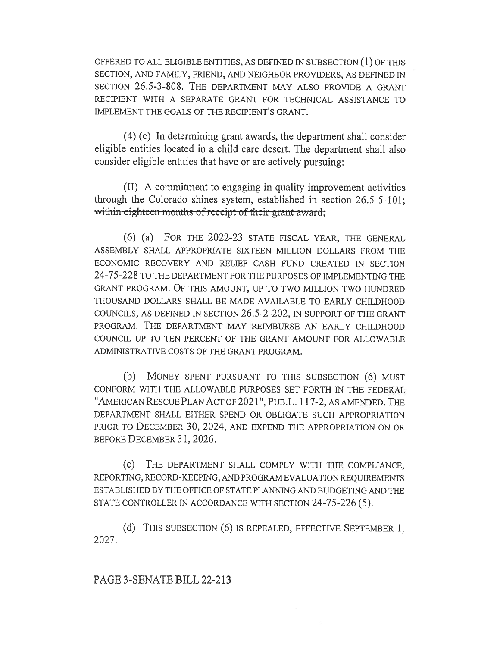OFFERED TO ALL ELIGIBLE ENTITIES, AS DEFINED IN SUBSECTION (1) OF THIS SECTION, AND FAMILY, FRIEND, AND NEIGHBOR PROVIDERS, AS DEFINED IN SECTION 26.5-3-808. THE DEPARTMENT MAY ALSO PROVIDE A GRANT RECIPIENT WITH A SEPARATE GRANT FOR TECHNICAL ASSISTANCE TO IMPLEMENT THE GOALS OF THE RECIPIENT'S GRANT.

(4) (c) In determining grant awards, the department shall consider eligible entities located in a child care desert. The department shall also consider eligible entities that have or are actively pursuing:

(II) A commitment to engaging in quality improvement activities through the Colorado shines system, established in section 26.5-5-101; within eighteen months of receipt of their grant award;

(6) (a) FOR THE 2022-23 STATE FISCAL YEAR, THE GENERAL ASSEMBLY SHALL APPROPRIATE SIXTEEN MILLION DOLLARS FROM THE ECONOMIC RECOVERY AND RELIEF CASH FUND CREATED IN SECTION 24-75-228 TO THE DEPARTMENT FOR THE PURPOSES OF IMPLEMENTING THE GRANT PROGRAM. OF THIS AMOUNT, UP TO TWO MILLION TWO HUNDRED THOUSAND DOLLARS SHALL BE MADE AVAILABLE TO EARLY CHILDHOOD COUNCILS, AS DEFINED IN SECTION 26.5-2-202, IN SUPPORT OF THE GRANT PROGRAM. THE DEPARTMENT MAY REIMBURSE AN EARLY CHILDHOOD COUNCIL UP TO TEN PERCENT OF THE GRANT AMOUNT FOR ALLOWABLE ADMINISTRATIVE COSTS OF THE GRANT PROGRAM.

(b) MONEY SPENT PURSUANT TO THIS SUBSECTION (6) MUST CONFORM WITH THE ALLOWABLE PURPOSES SET FORTH IN THE FEDERAL "AMERICAN RESCUE PLAN ACT OF 2021", PUB.L. 117-2, AS AMENDED. THE DEPARTMENT SHALL EITHER SPEND OR OBLIGATE SUCH APPROPRIATION PRIOR TO DECEMBER 30, 2024, AND EXPEND THE APPROPRIATION ON OR BEFORE DECEMBER 31, 2026.

(c) THE DEPARTMENT SHALL COMPLY WITH THE COMPLIANCE, REPORTING, RECORD-KEEPING, AND PROGRAM EVALUATION REQUIREMENTS ESTABLISHED BY THE OFFICE OF STATE PLANNING AND BUDGETING AND THE STATE CONTROLLER IN ACCORDANCE WITH SECTION 24-75-226 (5).

(d) THIS SUBSECTION (6) IS REPEALED, EFFECTIVE SEPTEMBER 1, 2027.

## PAGE 3-SENATE BILL 22-213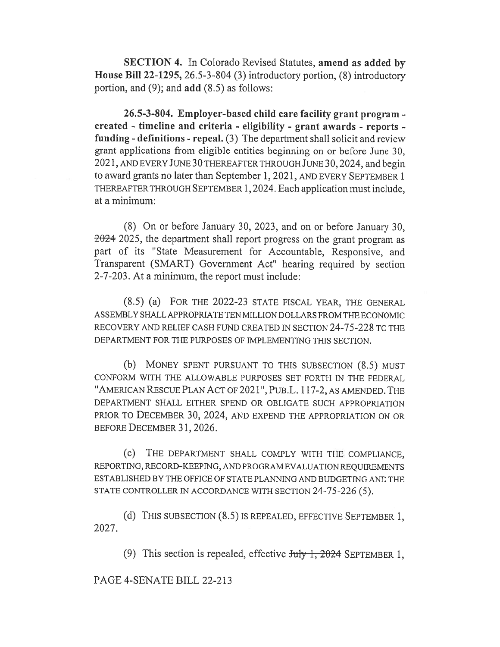SECTION 4. In Colorado Revised Statutes, amend as added by House Bill 22-1295, 26.5-3-804 (3) introductory portion, (8) introductory portion, and (9); and add (8.5) as follows:

26.5-3-804. Employer-based child care facility grant program created - timeline and criteria - eligibility - grant awards - reports funding - definitions - repeal. (3) The department shall solicit and review grant applications from eligible entities beginning on or before June 30, 2021, AND EVERY JUNE 30 THEREAFTER THROUGH JUNE 30, 2024, and begin to award grants no later than September 1, 2021, AND EVERY SEPTEMBER 1 THEREAFTER THROUGH SEPTEMBER 1, 2024. Each application must include, at a minimum:

(8) On or before January 30, 2023, and on or before January 30, 2024 2025, the department shall report progress on the grant program as part of its "State Measurement for Accountable, Responsive, and Transparent (SMART) Government Act" hearing required by section 2-7-203. At a minimum, the report must include:

(8.5) (a) FOR THE 2022-23 STATE FISCAL YEAR, THE GENERAL ASSEMBLY SHALL APPROPRIATE TEN MILLION DOLLARS FROM THE ECONOMIC RECOVERY AND RELIEF CASH FUND CREATED IN SECTION 24-75-228 TO THE DEPARTMENT FOR THE PURPOSES OF IMPLEMENTING THIS SECTION.

(b) MONEY SPENT PURSUANT TO THIS SUBSECTION (8.5) MUST CONFORM WITH THE ALLOWABLE PURPOSES SET FORTH IN THE FEDERAL "AMERICAN RESCUE PLAN ACT OF 2021", PUB .L. 117-2, AS AMENDED. THE DEPARTMENT SHALL EITHER SPEND OR OBLIGATE SUCH APPROPRIATION PRIOR TO DECEMBER 30, 2024, AND EXPEND THE APPROPRIATION ON OR BEFORE DECEMBER 31, 2026.

(c) THE DEPARTMENT SHALL COMPLY WITH THE COMPLIANCE, REPORTING, RECORD-KEEPING, AND PROGRAM EVALUATION REQUIREMENTS ESTABLISHED BY THE OFFICE OF STATE PLANNING AND BUDGETING AND THE STATE CONTROLLER IN ACCORDANCE WITH SECTION 24-75-226 (5).

(d) THIS SUBSECTION (8.5) IS REPEALED, EFFECTIVE SEPTEMBER 1, 2027.

(9) This section is repealed, effective  $J_{\text{uly}}$  1, 2024 SEPTEMBER 1,

PAGE 4-SENATE BILL 22-213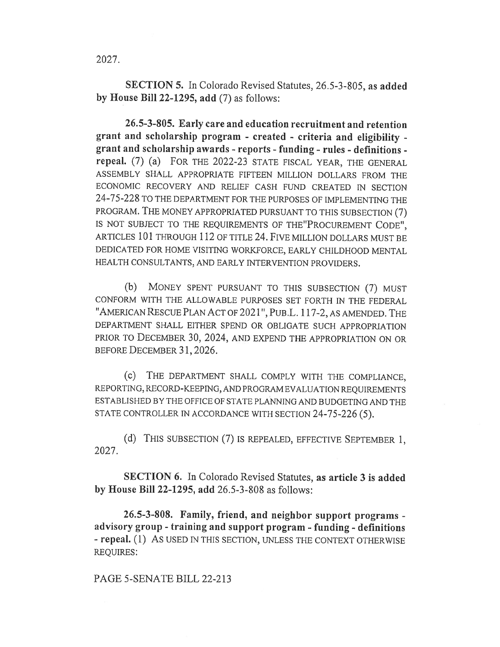2027.

SECTION 5. In Colorado Revised Statutes, 26.5-3-805, as added by House Bill 22-1295, add (7) as follows:

26.5-3-805. Early care and education recruitment and retention grant and scholarship program - created - criteria and eligibility grant and scholarship awards - reports - funding - rules - definitions repeal. (7) (a) FOR THE 2022-23 STATE FISCAL YEAR, THE GENERAL ASSEMBLY SHALL APPROPRIATE FIFTEEN MILLION DOLLARS FROM THE ECONOMIC RECOVERY AND RELIEF CASH FUND CREATED IN SECTION 24-75-228 TO THE DEPARTMENT FOR THE PURPOSES OF IMPLEMENTING THE PROGRAM. THE MONEY APPROPRIATED PURSUANT TO THIS SUBSECTION (7) IS NOT SUBJECT TO THE REQUIREMENTS OF THE"PROCUREMENT CODE", ARTICLES 101 THROUGH 112 OF TITLE 24. FIVE MILLION DOLLARS MUST BE DEDICATED FOR HOME VISITING WORKFORCE, EARLY CHILDHOOD MENTAL HEALTH CONSULTANTS, AND EARLY INTERVENTION PROVIDERS.

(b) MONEY SPENT PURSUANT TO THIS SUBSECTION (7) MUST CONFORM WITH THE ALLOWABLE PURPOSES SET FORTH IN THE FEDERAL "AMERICAN RESCUE PLAN ACT OF 2021", PuB.L. 117-2, AS AMENDED. THE DEPARTMENT SHALL EITHER SPEND OR OBLIGATE SUCH APPROPRIATION PRIOR TO DECEMBER 30, 2024, AND EXPEND THE APPROPRIATION ON OR BEFORE DECEMBER 31, 2026.

(c) THE DEPARTMENT SHALL COMPLY WITH THE COMPLIANCE, REPORTING, RECORD-KEEPING, AND PROGRAM EVALUATION REQUIREMENTS ESTABLISHED BY THE OFFICE OF STATE PLANNING AND BUDGETING AND THE STATE CONTROLLER IN ACCORDANCE WITH SECTION 24-75-226 (5).

(d) THIS SUBSECTION (7) IS REPEALED, EFFECTIVE SEPTEMBER 1, 2027.

SECTION 6. In Colorado Revised Statutes, as article 3 is added by House Bill 22-1295, add 26.5-3-808 as follows:

26.5-3-808. Family, friend, and neighbor support programs advisory group - training and support program - funding - definitions - repeal. (1) AS USED IN THIS SECTION, UNLESS THE CONTEXT OTHERWISE REQUIRES:

## PAGE 5-SENATE BILL 22-213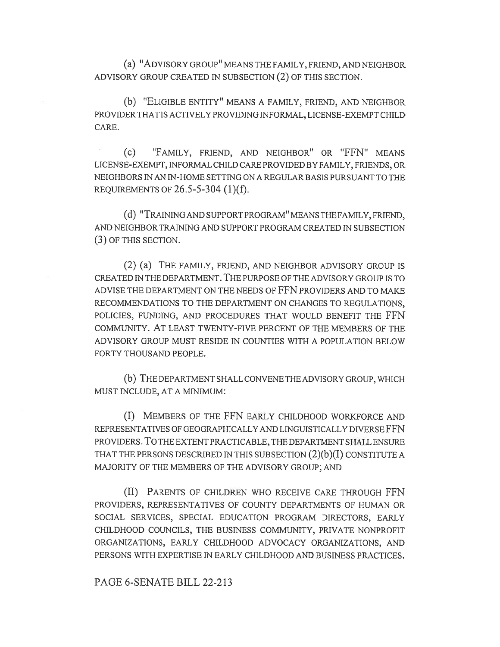(a) "ADVISORY GROUP" MEANS THE FAMILY, FRIEND, AND NEIGHBOR ADVISORY GROUP CREATED IN SUBSECTION (2) OF THIS SECTION.

(b) "ELIGIBLE ENTITY" MEANS A FAMILY, FRIEND, AND NEIGHBOR PROVIDER THAT IS ACTIVELY PROVIDING INFORMAL, LICENSE-EXEMPT CHILD CARE.

(c) "FAMILY, FRIEND, AND NEIGHBOR" OR "FFN" MEANS LICENSE-EXEMPT, INFORMAL CHILD CARE PROVIDED BY FAMILY, FRIENDS, OR NEIGHBORS IN AN IN-HOME SETTING ON A REGULAR BASIS PURSUANT TO THE REQUIREMENTS OF 26.5-5-304 (1)(f).

(d) "TRAINING AND SUPPORT PROGRAM" MEANS THE FAMILY, FRIEND, AND NEIGHBOR TRAINING AND SUPPORT PROGRAM CREATED IN SUBSECTION (3) OF THIS SECTION.

(2) (a) THE FAMILY, FRIEND, AND NEIGHBOR ADVISORY GROUP IS CREATED IN THE DEPARTMENT. THE PURPOSE OF THE ADVISORY GROUP IS TO ADVISE THE DEPARTMENT ON THE NEEDS OF FFN PROVIDERS AND TO MAKE RECOMMENDATIONS TO THE DEPARTMENT ON CHANGES TO REGULATIONS, POLICIES, FUNDING, AND PROCEDURES THAT WOULD BENEFIT THE FFN COMMUNITY. AT LEAST TWENTY-FIVE PERCENT OF THE MEMBERS OF THE ADVISORY GROUP MUST RESIDE IN COUNTIES WITH A POPULATION BELOW FORTY THOUSAND PEOPLE.

(b) THE DEPARTMENT SHALL CONVENE THE ADVISORY GROUP, WHICH MUST INCLUDE, AT A MINIMUM:

(I) MEMBERS OF THE FFN EARLY CHILDHOOD WORKFORCE AND REPRESENTATIVES OF GEOGRAPHICALLY AND LINGUISTICALLY DIVERSE FFN PROVIDERS. TO THE EXTENT PRACTICABLE, THE DEPARTMENT SHALL ENSURE THAT THE PERSONS DESCRIBED IN THIS SUBSECTION  $(2)(b)(I)$  CONSTITUTE A MAJORITY OF THE MEMBERS OF THE ADVISORY GROUP; AND

(II) PARENTS OF CHILDREN WHO RECEIVE CARE THROUGH FFN PROVIDERS, REPRESENTATIVES OF COUNTY DEPARTMENTS OF HUMAN OR SOCIAL SERVICES, SPECIAL EDUCATION PROGRAM DIRECTORS, EARLY CHILDHOOD COUNCILS, THE BUSINESS COMMUNITY, PRIVATE NONPROFIT ORGANIZATIONS, EARLY CHILDHOOD ADVOCACY ORGANIZATIONS, AND PERSONS WITH EXPERTISE IN EARLY CHILDHOOD AND BUSINESS PRACTICES.

## PAGE 6-SENATE BILL 22-213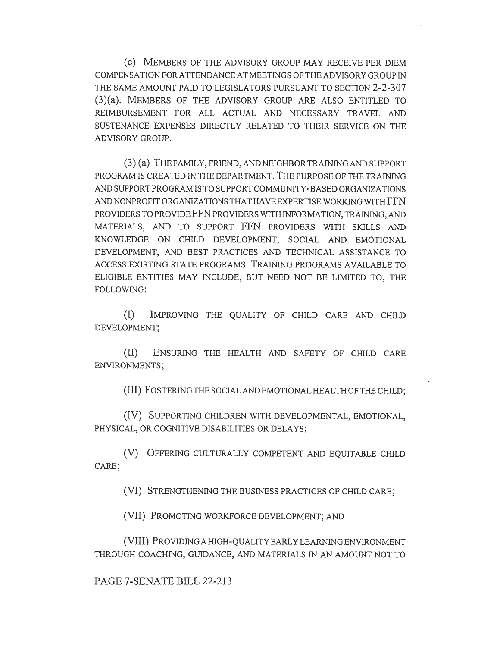(c) MEMBERS OF THE ADVISORY GROUP MAY RECEIVE PER DIEM COMPENSATION FOR ATTENDANCE AT MEETINGS OF THE ADVISORY GROUP IN THE SAME AMOUNT PAID TO LEGISLATORS PURSUANT TO SECTION 2-2-307 (3)(a). MEMBERS OF THE ADVISORY GROUP ARE ALSO ENTITLED TO REIMBURSEMENT FOR ALL ACTUAL AND NECESSARY TRAVEL AND SUSTENANCE EXPENSES DIRECTLY RELATED TO THEIR SERVICE ON THE ADVISORY GROUP.

(3) (a) THE FAMILY, FRIEND, AND NEIGHBOR TRAINING AND SUPPORT PROGRAM IS CREATED IN THE DEPARTMENT. THE PURPOSE OF THE TRAINING AND SUPPORT PROGRAM IS TO SUPPORT COMMUNITY-BASED ORGANIZATIONS AND NONPROFIT ORGANIZATIONS THAT HAVE EXPERTISE WORKING WITH FFN PROVIDERS TO PROVIDE FFN PROVIDERS WITH INFORMATION, TRAINING, AND MATERIALS, AND TO SUPPORT FFN PROVIDERS WITH SKILLS AND KNOWLEDGE ON CHILD DEVELOPMENT, SOCIAL AND EMOTIONAL DEVELOPMENT, AND BEST PRACTICES AND TECHNICAL ASSISTANCE TO ACCESS EXISTING STATE PROGRAMS. TRAINING PROGRAMS AVAILABLE TO ELIGIBLE ENTITIES MAY INCLUDE, BUT NEED NOT BE LIMITED TO, THE FOLLOWING:

(I) IMPROVING THE QUALITY OF CHILD CARE AND CHILD DEVELOPMENT;

(II) ENSURING THE HEALTH AND SAFETY OF CHILD CARE ENVIRONMENTS;

(III) FOSTERING THE SOCIAL AND EMOTIONAL HEALTH OF THE CHILD;

(IV) SUPPORTING CHILDREN WITH DEVELOPMENTAL, EMOTIONAL, PHYSICAL, OR COGNITIVE DISABILITIES OR DELAYS;

(V) OFFERING CULTURALLY COMPETENT AND EQUITABLE CHILD CARE;

(VI) STRENGTHENING THE BUSINESS PRACTICES OF CHILD CARE;

(VII) PROMOTING WORKFORCE DEVELOPMENT; AND

(VIII) PROVIDING A HIGH-QUALITY EARLY LEARNING ENVIRONMENT THROUGH COACHING, GUIDANCE, AND MATERIALS IN AN AMOUNT NOT TO

PAGE 7-SENATE BILL 22-213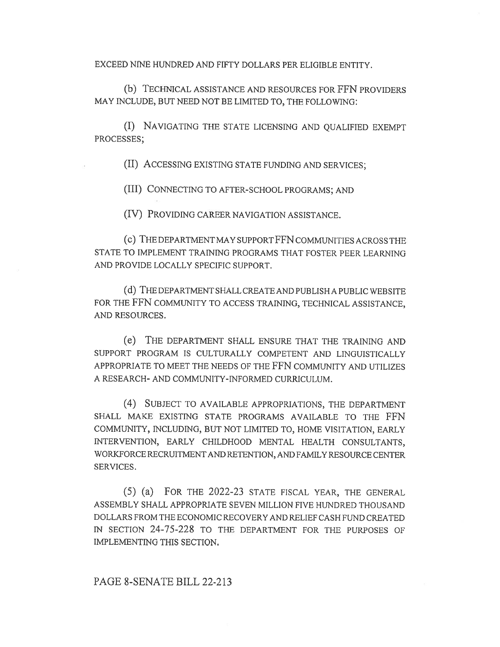EXCEED NINE HUNDRED AND FIFTY DOLLARS PER ELIGIBLE ENTITY.

(b) TECHNICAL ASSISTANCE AND RESOURCES FOR FFN PROVIDERS MAY INCLUDE, BUT NEED NOT BE LIMITED TO, THE FOLLOWING:

(I) NAVIGATING THE STATE LICENSING AND QUALIFIED EXEMPT PROCESSES;

(II) ACCESSING EXISTING STATE FUNDING AND SERVICES;

(III) CONNECTING TO AFTER-SCHOOL PROGRAMS; AND

(IV) PROVIDING CAREER NAVIGATION ASSISTANCE.

(C) THE DEPARTMENT MAY SUPPORT FFN COMMUNITIES ACROSS THE STATE TO IMPLEMENT TRAINING PROGRAMS THAT FOSTER PEER LEARNING AND PROVIDE LOCALLY SPECIFIC SUPPORT.

(d) THE DEPARTMENT SHALL CREATE AND PUBLISH A PUBLIC WEBSITE FOR THE FFN COMMUNITY TO ACCESS TRAINING, TECHNICAL ASSISTANCE, AND RESOURCES.

(e) THE DEPARTMENT SHALL ENSURE THAT THE TRAINING AND SUPPORT PROGRAM IS CULTURALLY COMPETENT AND LINGUISTICALLY APPROPRIATE TO MEET THE NEEDS OF THE FFN COMMUNITY AND UTILIZES A RESEARCH- AND COMMUNITY-INFORMED CURRICULUM.

(4) SUBJECT TO AVAILABLE APPROPRIATIONS, THE DEPARTMENT SHALL MAKE EXISTING STATE PROGRAMS AVAILABLE TO THE FFN COMMUNITY, INCLUDING, BUT NOT LIMITED TO, HOME VISITATION, EARLY INTERVENTION, EARLY CHILDHOOD MENTAL HEALTH CONSULTANTS, WORKFORCE RECRUITMENT AND RETENTION, AND FAMILY RESOURCE CENTER SERVICES.

(5) (a) FOR THE 2022-23 STATE FISCAL YEAR, THE GENERAL ASSEMBLY SHALL APPROPRIATE SEVEN MILLION FIVE HUNDRED THOUSAND DOLLARS FROM THE ECONOMIC RECOVERY AND RELIEF CASH FUND CREATED IN SECTION 24-75-228 TO THE DEPARTMENT FOR THE PURPOSES OF IMPLEMENTING THIS SECTION.

## PAGE 8-SENATE BILL 22-213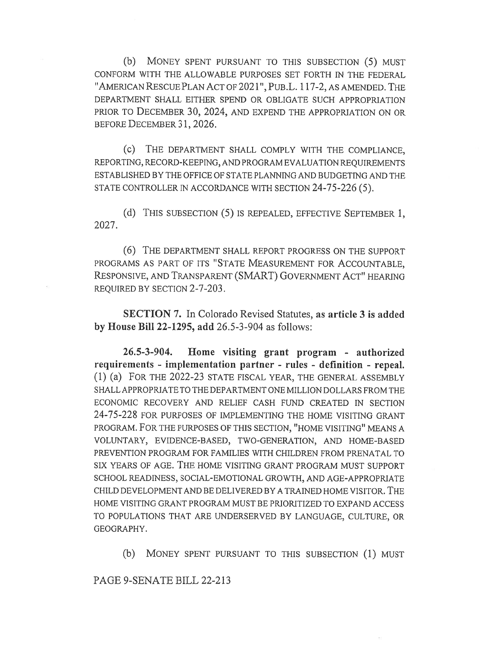(b) MONEY SPENT PURSUANT TO THIS SUBSECTION (5) MUST CONFORM WITH THE ALLOWABLE PURPOSES SET FORTH IN THE FEDERAL "AMERICAN RESCUE PLAN ACT OF 2021", PuB.L. 117-2, AS AMENDED. THE DEPARTMENT SHALL EITHER SPEND OR OBLIGATE SUCH APPROPRIATION PRIOR TO DECEMBER 30, 2024, AND EXPEND THE APPROPRIATION ON OR BEFORE DECEMBER 31, 2026.

(c) THE DEPARTMENT SHALL COMPLY WITH THE COMPLIANCE, REPORTING, RECORD-KEEPING, AND PROGRAM EVALUATION REQUIREMENTS ESTABLISHED BY THE OFFICE OF STATE PLANNING AND BUDGETING AND THE STATE CONTROLLER IN ACCORDANCE WITH SECTION 24-75-226 (5).

(d) THIS SUBSECTION (5) IS REPEALED, EFFECTIVE SEPTEMBER 1, 2027.

(6) THE DEPARTMENT SHALL REPORT PROGRESS ON THE SUPPORT PROGRAMS AS PART OF ITS "STATE MEASUREMENT FOR ACCOUNTABLE, RESPONSIVE, AND TRANSPARENT (SMART) GOVERNMENT ACT" HEARING REQUIRED BY SECTION 2-7-203.

SECTION 7. In Colorado Revised Statutes, as article 3 is added by House Bill 22-1295, add 26.5-3-904 as follows:

26.5-3-904. Home visiting grant program - authorized requirements - implementation partner - rules - definition - repeal. (1) (a) FOR THE 2022-23 STATE FISCAL YEAR, THE GENERAL ASSEMBLY SHALL APPROPRIATE TO THE DEPARTMENT ONE MILLION DOLLARS FROM THE ECONOMIC RECOVERY AND RELIEF CASH FUND CREATED IN SECTION 24-75-228 FOR PURPOSES OF IMPLEMENTING THE HOME VISITING GRANT PROGRAM. FOR THE PURPOSES OF THIS SECTION, "HOME VISITING" MEANS A VOLUNTARY, EVIDENCE-BASED, TWO-GENERATION, AND HOME-BASED PREVENTION PROGRAM FOR FAMILIES WITH CHILDREN FROM PRENATAL TO SIX YEARS OF AGE. THE HOME VISITING GRANT PROGRAM MUST SUPPORT SCHOOL READINESS, SOCIAL-EMOTIONAL GROWTH, AND AGE-APPROPRIATE CHILD DEVELOPMENT AND BE DELIVERED BY A TRAINED HOME VISITOR. THE HOME VISITING GRANT PROGRAM MUST BE PRIORITIZED TO EXPAND ACCESS TO POPULATIONS THAT ARE UNDERSERVED BY LANGUAGE, CULTURE, OR GEOGRAPHY.

(b) MONEY SPENT PURSUANT TO THIS SUBSECTION (1) MUST

PAGE 9-SENATE BILL 22-213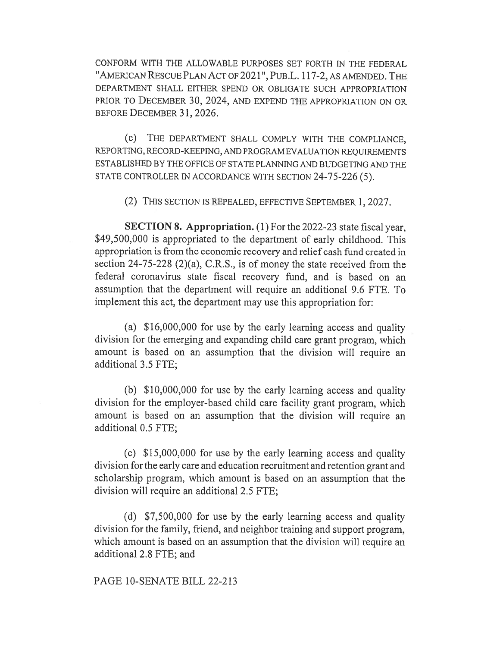CONFORM WITH THE ALLOWABLE PURPOSES SET FORTH IN THE FEDERAL "AMERICAN RESCUE PLAN ACT OF 2021", PuB.L. 117-2, AS AMENDED. THE DEPARTMENT SHALL EITHER SPEND OR OBLIGATE SUCH APPROPRIATION PRIOR TO DECEMBER 30, 2024, AND EXPEND THE APPROPRIATION ON OR BEFORE DECEMBER 31, 2026.

(c) THE DEPARTMENT SHALL COMPLY WITH THE COMPLIANCE, REPORTING, RECORD-KEEPING, AND PROGRAM EVALUATION REQUIREMENTS ESTABLISHED BY THE OFFICE OF STATE PLANNING AND BUDGETING AND THE STATE CONTROLLER IN ACCORDANCE WITH SECTION 24-75-226 (5).

(2) THIS SECTION IS REPEALED, EFFECTIVE SEPTEMBER 1, 2027.

SECTION 8. Appropriation. (1) For the 2022-23 state fiscal year, \$49,500,000 is appropriated to the department of early childhood. This appropriation is from the economic recovery and relief cash fund created in section 24-75-228 (2)(a), C.R.S., is of money the state received from the federal coronavirus state fiscal recovery fund, and is based on an assumption that the department will require an additional 9.6 FTE. To implement this act, the department may use this appropriation for:

(a) \$16,000,000 for use by the early learning access and quality division for the emerging and expanding child care grant program, which amount is based on an assumption that the division will require an additional 3.5 FTE;

(b) \$10,000,000 for use by the early learning access and quality division for the employer-based child care facility grant program, which amount is based on an assumption that the division will require an additional 0.5 FTE;

(c) \$15,000,000 for use by the early learning access and quality division for the early care and education recruitment and retention grant and scholarship program, which amount is based on an assumption that the division will require an additional 2.5 FTE;

(d) \$7,500,000 for use by the early learning access and quality division for the family, friend, and neighbor training and support program, which amount is based on an assumption that the division will require an additional 2.8 FTE; and

PAGE 10-SENATE BILL 22-213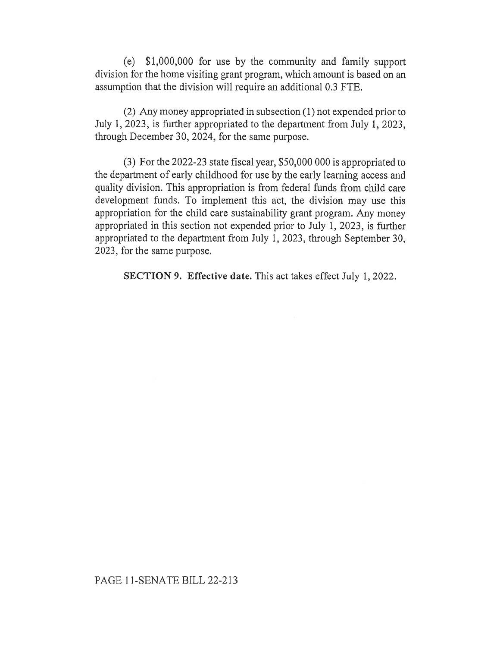(e) \$1,000,000 for use by the community and family support division for the home visiting grant program, which amount is based on an assumption that the division will require an additional 0.3 FTE.

(2) Any money appropriated in subsection (1) not expended prior to July 1, 2023, is further appropriated to the department from July 1, 2023, through December 30, 2024, for the same purpose.

(3) For the 2022-23 state fiscal year, \$50,000 000 is appropriated to the department of early childhood for use by the early learning access and quality division. This appropriation is from federal funds from child care development funds. To implement this act, the division may use this appropriation for the child care sustainability grant program. Any money appropriated in this section not expended prior to July 1, 2023, is further appropriated to the department from July 1, 2023, through September 30, 2023, for the same purpose.

SECTION 9. Effective date. This act takes effect July 1, 2022.